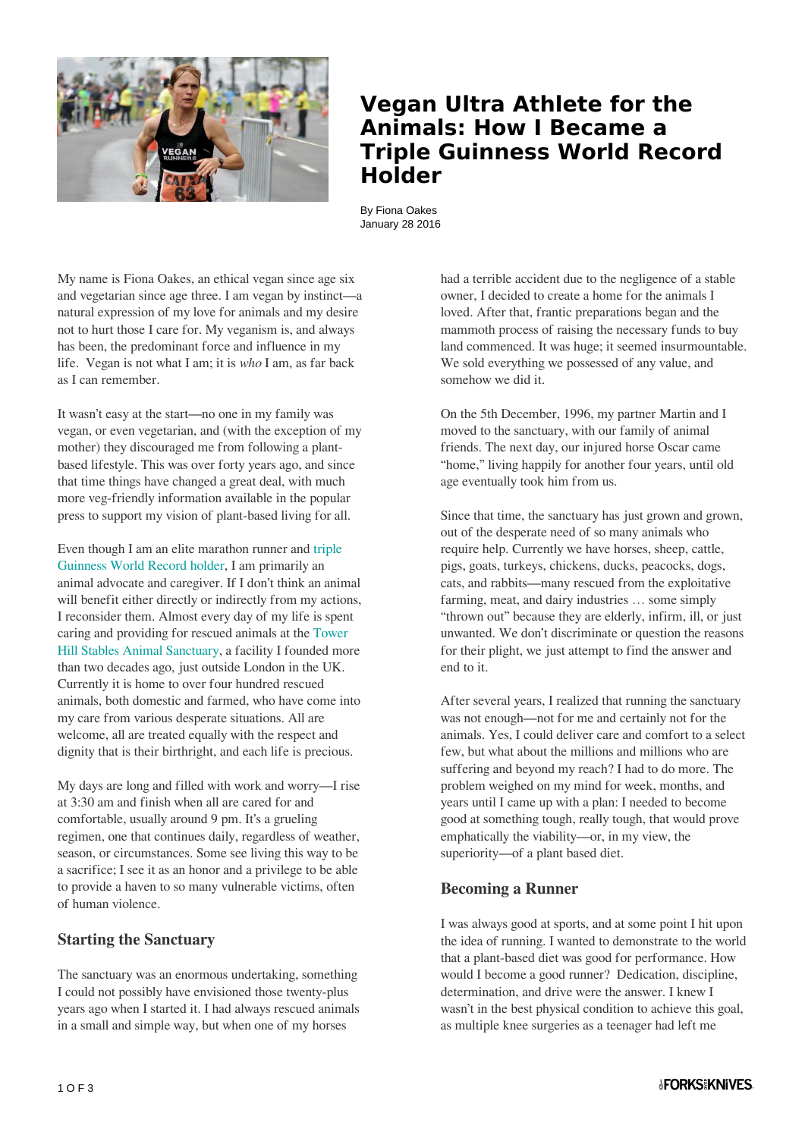

## **Vegan Ultra Athlete for the Animals: How I Became a Triple Guinness World Record Holder**

By Fiona Oakes January 28 2016

My name is Fiona Oakes, an ethical vegan since age six and vegetarian since age three. I am vegan by instinct—a natural expression of my love for animals and my desire not to hurt those I care for. My veganism is, and always has been, the predominant force and influence in my life. Vegan is not what I am; it is *who* I am, as far back as I can remember.

It wasn't easy at the start—no one in my family was vegan, or even vegetarian, and (with the exception of my mother) they discouraged me from following a plantbased lifestyle. This was over forty years ago, and since that time things have changed a great deal, with much more veg-friendly information available in the popular press to support my vision of plant-based living for all.

Even though I am an elite marathon runner and [triple](http://www.guinnessworldrecords.com/world-records/fastest-time-to-complete-a-marathon-on-each-continent-aggregate-(female)) [Guinness World Record holder](http://www.guinnessworldrecords.com/world-records/fastest-time-to-complete-a-marathon-on-each-continent-aggregate-(female)), I am primarily an animal advocate and caregiver. If I don't think an animal will benefit either directly or indirectly from my actions, I reconsider them. Almost every day of my life is spent caring and providing for rescued animals at the [Tower](http://towerhillstables.com/) [Hill Stables Animal Sanctuary](http://towerhillstables.com/), a facility I founded more than two decades ago, just outside London in the UK. Currently it is home to over four hundred rescued animals, both domestic and farmed, who have come into my care from various desperate situations. All are welcome, all are treated equally with the respect and dignity that is their birthright, and each life is precious.

My days are long and filled with work and worry—I rise at 3:30 am and finish when all are cared for and comfortable, usually around 9 pm. It's a grueling regimen, one that continues daily, regardless of weather, season, or circumstances. Some see living this way to be a sacrifice; I see it as an honor and a privilege to be able to provide a haven to so many vulnerable victims, often of human violence.

#### **Starting the Sanctuary**

The sanctuary was an enormous undertaking, something I could not possibly have envisioned those twenty-plus years ago when I started it. I had always rescued animals in a small and simple way, but when one of my horses

had a terrible accident due to the negligence of a stable owner, I decided to create a home for the animals I loved. After that, frantic preparations began and the mammoth process of raising the necessary funds to buy land commenced. It was huge; it seemed insurmountable. We sold everything we possessed of any value, and somehow we did it.

On the 5th December, 1996, my partner Martin and I moved to the sanctuary, with our family of animal friends. The next day, our injured horse Oscar came "home," living happily for another four years, until old age eventually took him from us.

Since that time, the sanctuary has just grown and grown, out of the desperate need of so many animals who require help. Currently we have horses, sheep, cattle, pigs, goats, turkeys, chickens, ducks, peacocks, dogs, cats, and rabbits—many rescued from the exploitative farming, meat, and dairy industries … some simply "thrown out" because they are elderly, infirm, ill, or just unwanted. We don't discriminate or question the reasons for their plight, we just attempt to find the answer and end to it.

After several years, I realized that running the sanctuary was not enough—not for me and certainly not for the animals. Yes, I could deliver care and comfort to a select few, but what about the millions and millions who are suffering and beyond my reach? I had to do more. The problem weighed on my mind for week, months, and years until I came up with a plan: I needed to become good at something tough, really tough, that would prove emphatically the viability—or, in my view, the superiority—of a plant based diet.

#### **Becoming a Runner**

I was always good at sports, and at some point I hit upon the idea of running. I wanted to demonstrate to the world that a plant-based diet was good for performance. How would I become a good runner? Dedication, discipline, determination, and drive were the answer. I knew I wasn't in the best physical condition to achieve this goal, as multiple knee surgeries as a teenager had left me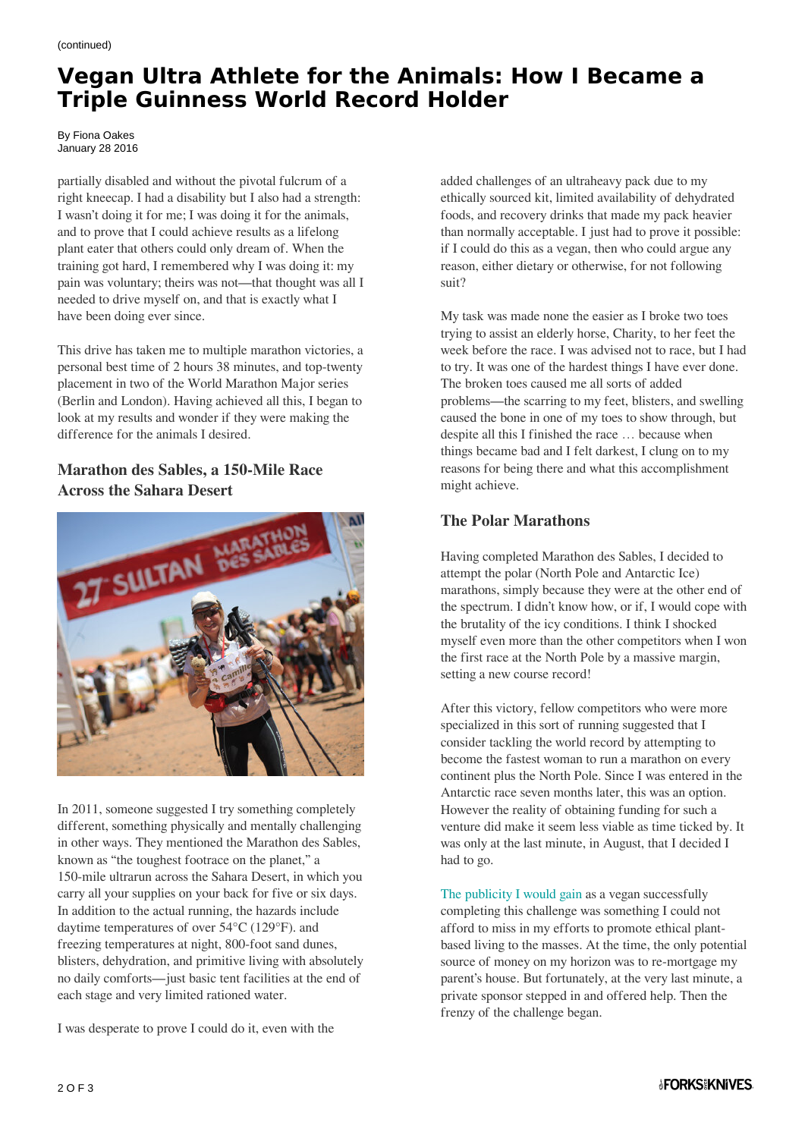# **Vegan Ultra Athlete for the Animals: How I Became a Triple Guinness World Record Holder**

By Fiona Oakes January 28 2016

partially disabled and without the pivotal fulcrum of a right kneecap. I had a disability but I also had a strength: I wasn't doing it for me; I was doing it for the animals, and to prove that I could achieve results as a lifelong plant eater that others could only dream of. When the training got hard, I remembered why I was doing it: my pain was voluntary; theirs was not—that thought was all I needed to drive myself on, and that is exactly what I have been doing ever since.

This drive has taken me to multiple marathon victories, a personal best time of 2 hours 38 minutes, and top-twenty placement in two of the World Marathon Major series (Berlin and London). Having achieved all this, I began to look at my results and wonder if they were making the difference for the animals I desired.

### **Marathon des Sables, a 150-Mile Race Across the Sahara Desert**



In 2011, someone suggested I try something completely different, something physically and mentally challenging in other ways. They mentioned the Marathon des Sables, known as "the toughest footrace on the planet," a 150-mile ultrarun across the Sahara Desert, in which you carry all your supplies on your back for five or six days. In addition to the actual running, the hazards include daytime temperatures of over 54°C (129°F). and freezing temperatures at night, 800-foot sand dunes, blisters, dehydration, and primitive living with absolutely no daily comforts—just basic tent facilities at the end of each stage and very limited rationed water.

I was desperate to prove I could do it, even with the

added challenges of an ultraheavy pack due to my ethically sourced kit, limited availability of dehydrated foods, and recovery drinks that made my pack heavier than normally acceptable. I just had to prove it possible: if I could do this as a vegan, then who could argue any reason, either dietary or otherwise, for not following suit?

My task was made none the easier as I broke two toes trying to assist an elderly horse, Charity, to her feet the week before the race. I was advised not to race, but I had to try. It was one of the hardest things I have ever done. The broken toes caused me all sorts of added problems—the scarring to my feet, blisters, and swelling caused the bone in one of my toes to show through, but despite all this I finished the race … because when things became bad and I felt darkest, I clung on to my reasons for being there and what this accomplishment might achieve.

#### **The Polar Marathons**

Having completed Marathon des Sables, I decided to attempt the polar (North Pole and Antarctic Ice) marathons, simply because they were at the other end of the spectrum. I didn't know how, or if, I would cope with the brutality of the icy conditions. I think I shocked myself even more than the other competitors when I won the first race at the North Pole by a massive margin, setting a new course record!

After this victory, fellow competitors who were more specialized in this sort of running suggested that I consider tackling the world record by attempting to become the fastest woman to run a marathon on every continent plus the North Pole. Since I was entered in the Antarctic race seven months later, this was an option. However the reality of obtaining funding for such a venture did make it seem less viable as time ticked by. It was only at the last minute, in August, that I decided I had to go.

[The publicity I would gain](http://www.fionaoakesfoundation.co.uk/) as a vegan successfully completing this challenge was something I could not afford to miss in my efforts to promote ethical plantbased living to the masses. At the time, the only potential source of money on my horizon was to re-mortgage my parent's house. But fortunately, at the very last minute, a private sponsor stepped in and offered help. Then the frenzy of the challenge began.